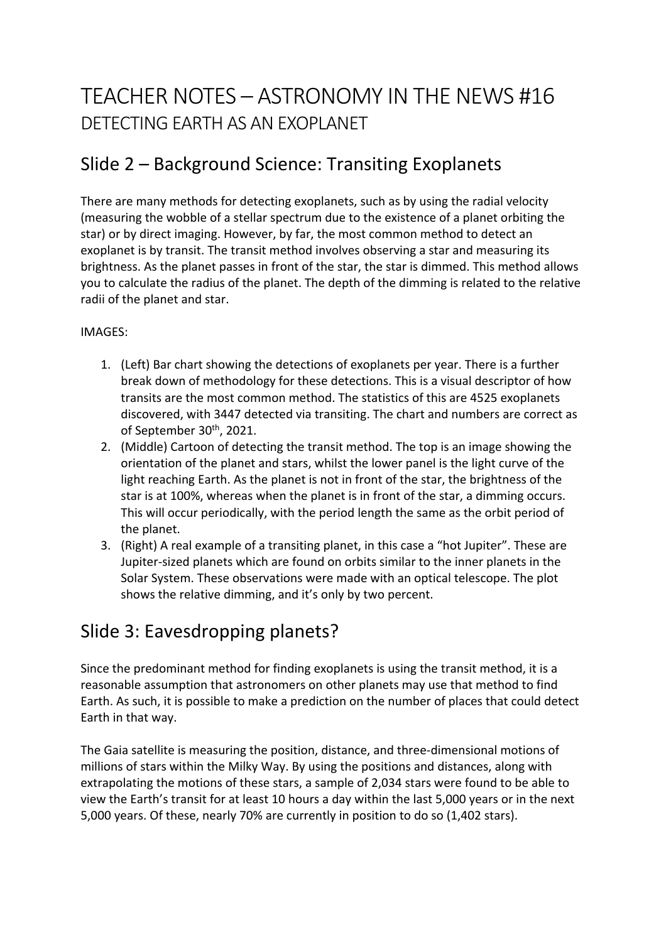# TEACHER NOTES – ASTRONOMY IN THE NEWS #16 DETECTING EARTH AS AN EXOPLANET

## Slide 2 – Background Science: Transiting Exoplanets

There are many methods for detecting exoplanets, such as by using the radial velocity (measuring the wobble of a stellar spectrum due to the existence of a planet orbiting the star) or by direct imaging. However, by far, the most common method to detect an exoplanet is by transit. The transit method involves observing a star and measuring its brightness. As the planet passes in front of the star, the star is dimmed. This method allows you to calculate the radius of the planet. The depth of the dimming is related to the relative radii of the planet and star.

#### IMAGES:

- 1. (Left) Bar chart showing the detections of exoplanets per year. There is a further break down of methodology for these detections. This is a visual descriptor of how transits are the most common method. The statistics of this are 4525 exoplanets discovered, with 3447 detected via transiting. The chart and numbers are correct as of September 30<sup>th</sup>, 2021.
- 2. (Middle) Cartoon of detecting the transit method. The top is an image showing the orientation of the planet and stars, whilst the lower panel is the light curve of the light reaching Earth. As the planet is not in front of the star, the brightness of the star is at 100%, whereas when the planet is in front of the star, a dimming occurs. This will occur periodically, with the period length the same as the orbit period of the planet.
- 3. (Right) A real example of a transiting planet, in this case a "hot Jupiter". These are Jupiter-sized planets which are found on orbits similar to the inner planets in the Solar System. These observations were made with an optical telescope. The plot shows the relative dimming, and it's only by two percent.

### Slide 3: Eavesdropping planets?

Since the predominant method for finding exoplanets is using the transit method, it is a reasonable assumption that astronomers on other planets may use that method to find Earth. As such, it is possible to make a prediction on the number of places that could detect Earth in that way.

The Gaia satellite is measuring the position, distance, and three-dimensional motions of millions of stars within the Milky Way. By using the positions and distances, along with extrapolating the motions of these stars, a sample of 2,034 stars were found to be able to view the Earth's transit for at least 10 hours a day within the last 5,000 years or in the next 5,000 years. Of these, nearly 70% are currently in position to do so (1,402 stars).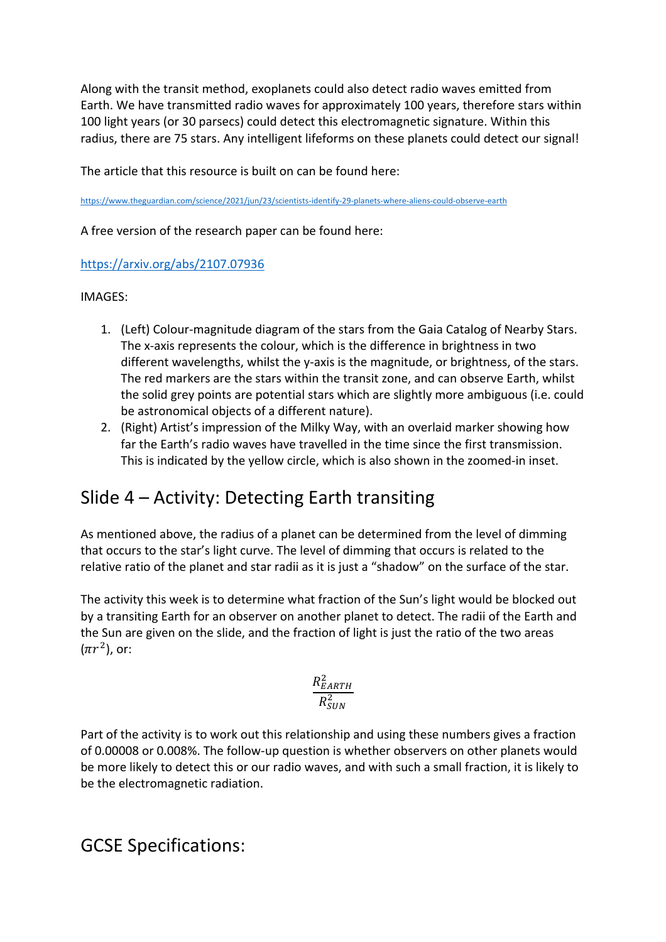Along with the transit method, exoplanets could also detect radio waves emitted from Earth. We have transmitted radio waves for approximately 100 years, therefore stars within 100 light years (or 30 parsecs) could detect this electromagnetic signature. Within this radius, there are 75 stars. Any intelligent lifeforms on these planets could detect our signal!

The article that this resource is built on can be found here:

https://www.theguardian.com/science/2021/jun/23/scientists-identify-29-planets-where-aliens-could-observe-earth

A free version of the research paper can be found here:

#### https://arxiv.org/abs/2107.07936

IMAGES:

- 1. (Left) Colour-magnitude diagram of the stars from the Gaia Catalog of Nearby Stars. The x-axis represents the colour, which is the difference in brightness in two different wavelengths, whilst the y-axis is the magnitude, or brightness, of the stars. The red markers are the stars within the transit zone, and can observe Earth, whilst the solid grey points are potential stars which are slightly more ambiguous (i.e. could be astronomical objects of a different nature).
- 2. (Right) Artist's impression of the Milky Way, with an overlaid marker showing how far the Earth's radio waves have travelled in the time since the first transmission. This is indicated by the yellow circle, which is also shown in the zoomed-in inset.

### Slide 4 – Activity: Detecting Earth transiting

As mentioned above, the radius of a planet can be determined from the level of dimming that occurs to the star's light curve. The level of dimming that occurs is related to the relative ratio of the planet and star radii as it is just a "shadow" on the surface of the star.

The activity this week is to determine what fraction of the Sun's light would be blocked out by a transiting Earth for an observer on another planet to detect. The radii of the Earth and the Sun are given on the slide, and the fraction of light is just the ratio of the two areas  $(\pi r^2)$ , or:

$$
\frac{R_{EARTH}^2}{R_{SUN}^2}
$$

Part of the activity is to work out this relationship and using these numbers gives a fraction of 0.00008 or 0.008%. The follow-up question is whether observers on other planets would be more likely to detect this or our radio waves, and with such a small fraction, it is likely to be the electromagnetic radiation.

GCSE Specifications: